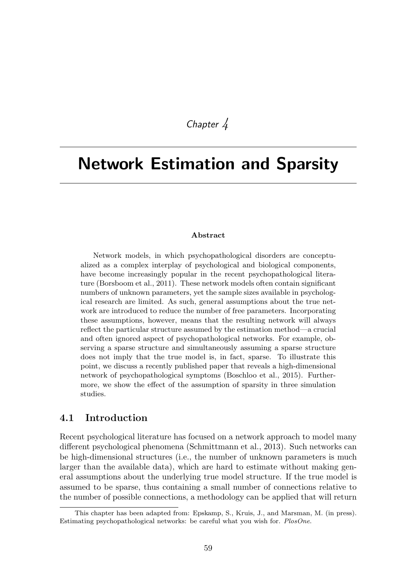## *Chapter 4*

# Network Estimation and Sparsity

#### Abstract

Network models, in which psychopathological disorders are conceptualized as a complex interplay of psychological and biological components, have become increasingly popular in the recent psychopathological literature (Borsboom et al., 2011). These network models often contain significant numbers of unknown parameters, yet the sample sizes available in psychological research are limited. As such, general assumptions about the true network are introduced to reduce the number of free parameters. Incorporating these assumptions, however, means that the resulting network will always reflect the particular structure assumed by the estimation method—a crucial and often ignored aspect of psychopathological networks. For example, observing a sparse structure and simultaneously assuming a sparse structure does not imply that the true model is, in fact, sparse. To illustrate this point, we discuss a recently published paper that reveals a high-dimensional network of psychopathological symptoms (Boschloo et al., 2015). Furthermore, we show the effect of the assumption of sparsity in three simulation studies.

#### 4.1 Introduction

Recent psychological literature has focused on a network approach to model many different psychological phenomena (Schmittmann et al., 2013). Such networks can be high-dimensional structures (i.e., the number of unknown parameters is much larger than the available data), which are hard to estimate without making general assumptions about the underlying true model structure. If the true model is assumed to be sparse, thus containing a small number of connections relative to the number of possible connections, a methodology can be applied that will return

This chapter has been adapted from: Epskamp, S., Kruis, J., and Marsman, M. (in press). Estimating psychopathological networks: be careful what you wish for. *PlosOne*.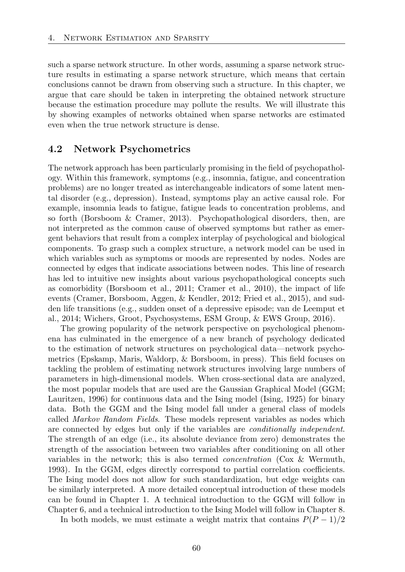such a sparse network structure. In other words, assuming a sparse network structure results in estimating a sparse network structure, which means that certain conclusions cannot be drawn from observing such a structure. In this chapter, we argue that care should be taken in interpreting the obtained network structure because the estimation procedure may pollute the results. We will illustrate this by showing examples of networks obtained when sparse networks are estimated even when the true network structure is dense.

#### 4.2 Network Psychometrics

The network approach has been particularly promising in the field of psychopathology. Within this framework, symptoms (e.g., insomnia, fatigue, and concentration problems) are no longer treated as interchangeable indicators of some latent mental disorder (e.g., depression). Instead, symptoms play an active causal role. For example, insomnia leads to fatigue, fatigue leads to concentration problems, and so forth (Borsboom & Cramer, 2013). Psychopathological disorders, then, are not interpreted as the common cause of observed symptoms but rather as emergent behaviors that result from a complex interplay of psychological and biological components. To grasp such a complex structure, a network model can be used in which variables such as symptoms or moods are represented by nodes. Nodes are connected by edges that indicate associations between nodes. This line of research has led to intuitive new insights about various psychopathological concepts such as comorbidity (Borsboom et al., 2011; Cramer et al., 2010), the impact of life events (Cramer, Borsboom, Aggen, & Kendler, 2012; Fried et al., 2015), and sudden life transitions (e.g., sudden onset of a depressive episode; van de Leemput et al., 2014; Wichers, Groot, Psychosystems, ESM Group, & EWS Group, 2016).

The growing popularity of the network perspective on psychological phenomena has culminated in the emergence of a new branch of psychology dedicated to the estimation of network structures on psychological data—network psychometrics (Epskamp, Maris, Waldorp, & Borsboom, in press). This field focuses on tackling the problem of estimating network structures involving large numbers of parameters in high-dimensional models. When cross-sectional data are analyzed, the most popular models that are used are the Gaussian Graphical Model (GGM; Lauritzen, 1996) for continuous data and the Ising model (Ising, 1925) for binary data. Both the GGM and the Ising model fall under a general class of models called *Markov Random Fields*. These models represent variables as nodes which are connected by edges but only if the variables are *conditionally independent*. The strength of an edge (i.e., its absolute deviance from zero) demonstrates the strength of the association between two variables after conditioning on all other variables in the network; this is also termed *concentration* (Cox & Wermuth, 1993). In the GGM, edges directly correspond to partial correlation coefficients. The Ising model does not allow for such standardization, but edge weights can be similarly interpreted. A more detailed conceptual introduction of these models can be found in Chapter 1. A technical introduction to the GGM will follow in Chapter 6, and a technical introduction to the Ising Model will follow in Chapter 8.

In both models, we must estimate a weight matrix that contains  $P(P-1)/2$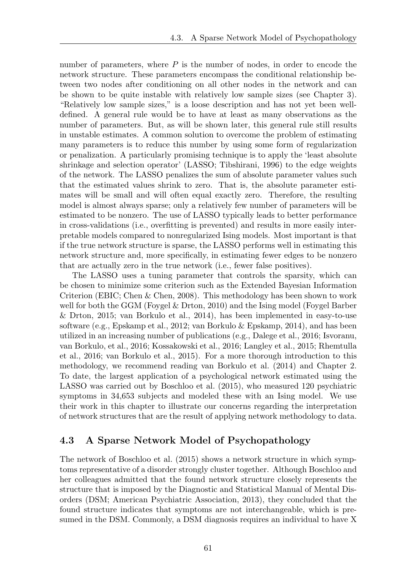number of parameters, where P is the number of nodes, in order to encode the network structure. These parameters encompass the conditional relationship between two nodes after conditioning on all other nodes in the network and can be shown to be quite instable with relatively low sample sizes (see Chapter 3). "Relatively low sample sizes," is a loose description and has not yet been welldefined. A general rule would be to have at least as many observations as the number of parameters. But, as will be shown later, this general rule still results in unstable estimates. A common solution to overcome the problem of estimating many parameters is to reduce this number by using some form of regularization or penalization. A particularly promising technique is to apply the 'least absolute shrinkage and selection operator' (LASSO; Tibshirani, 1996) to the edge weights of the network. The LASSO penalizes the sum of absolute parameter values such that the estimated values shrink to zero. That is, the absolute parameter estimates will be small and will often equal exactly zero. Therefore, the resulting model is almost always sparse; only a relatively few number of parameters will be estimated to be nonzero. The use of LASSO typically leads to better performance in cross-validations (i.e., overfitting is prevented) and results in more easily interpretable models compared to nonregularized Ising models. Most important is that if the true network structure is sparse, the LASSO performs well in estimating this network structure and, more specifically, in estimating fewer edges to be nonzero that are actually zero in the true network (i.e., fewer false positives).

The LASSO uses a tuning parameter that controls the sparsity, which can be chosen to minimize some criterion such as the Extended Bayesian Information Criterion (EBIC; Chen & Chen, 2008). This methodology has been shown to work well for both the GGM (Foygel & Drton, 2010) and the Ising model (Foygel Barber & Drton, 2015; van Borkulo et al., 2014), has been implemented in easy-to-use software (e.g., Epskamp et al., 2012; van Borkulo & Epskamp, 2014), and has been utilized in an increasing number of publications (e.g., Dalege et al., 2016; Isvoranu, van Borkulo, et al., 2016; Kossakowski et al., 2016; Langley et al., 2015; Rhemtulla et al., 2016; van Borkulo et al., 2015). For a more thorough introduction to this methodology, we recommend reading van Borkulo et al. (2014) and Chapter 2. To date, the largest application of a psychological network estimated using the LASSO was carried out by Boschloo et al. (2015), who measured 120 psychiatric symptoms in 34*,*653 subjects and modeled these with an Ising model. We use their work in this chapter to illustrate our concerns regarding the interpretation of network structures that are the result of applying network methodology to data.

#### 4.3 A Sparse Network Model of Psychopathology

The network of Boschloo et al. (2015) shows a network structure in which symptoms representative of a disorder strongly cluster together. Although Boschloo and her colleagues admitted that the found network structure closely represents the structure that is imposed by the Diagnostic and Statistical Manual of Mental Disorders (DSM; American Psychiatric Association, 2013), they concluded that the found structure indicates that symptoms are not interchangeable, which is presumed in the DSM. Commonly, a DSM diagnosis requires an individual to have X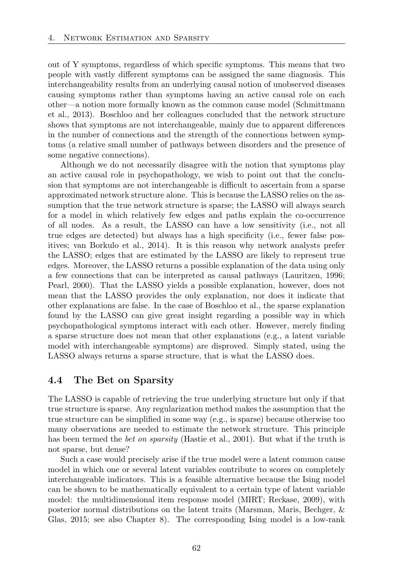out of Y symptoms, regardless of which specific symptoms. This means that two people with vastly different symptoms can be assigned the same diagnosis. This interchangeability results from an underlying causal notion of unobserved diseases causing symptoms rather than symptoms having an active causal role on each other—a notion more formally known as the common cause model (Schmittmann et al., 2013). Boschloo and her colleagues concluded that the network structure shows that symptoms are not interchangeable, mainly due to apparent differences in the number of connections and the strength of the connections between symptoms (a relative small number of pathways between disorders and the presence of some negative connections).

Although we do not necessarily disagree with the notion that symptoms play an active causal role in psychopathology, we wish to point out that the conclusion that symptoms are not interchangeable is difficult to ascertain from a sparse approximated network structure alone. This is because the LASSO relies on the assumption that the true network structure is sparse; the LASSO will always search for a model in which relatively few edges and paths explain the co-occurrence of all nodes. As a result, the LASSO can have a low sensitivity (i.e., not all true edges are detected) but always has a high specificity (i.e., fewer false positives; van Borkulo et al., 2014). It is this reason why network analysts prefer the LASSO; edges that are estimated by the LASSO are likely to represent true edges. Moreover, the LASSO returns a possible explanation of the data using only a few connections that can be interpreted as causal pathways (Lauritzen, 1996; Pearl, 2000). That the LASSO yields a possible explanation, however, does not mean that the LASSO provides the only explanation, nor does it indicate that other explanations are false. In the case of Boschloo et al., the sparse explanation found by the LASSO can give great insight regarding a possible way in which psychopathological symptoms interact with each other. However, merely finding a sparse structure does not mean that other explanations (e.g., a latent variable model with interchangeable symptoms) are disproved. Simply stated, using the LASSO always returns a sparse structure, that is what the LASSO does.

#### 4.4 The Bet on Sparsity

The LASSO is capable of retrieving the true underlying structure but only if that true structure is sparse. Any regularization method makes the assumption that the true structure can be simplified in some way (e.g., is sparse) because otherwise too many observations are needed to estimate the network structure. This principle has been termed the *bet on sparsity* (Hastie et al., 2001). But what if the truth is not sparse, but dense?

Such a case would precisely arise if the true model were a latent common cause model in which one or several latent variables contribute to scores on completely interchangeable indicators. This is a feasible alternative because the Ising model can be shown to be mathematically equivalent to a certain type of latent variable model: the multidimensional item response model (MIRT; Reckase, 2009), with posterior normal distributions on the latent traits (Marsman, Maris, Bechger, & Glas, 2015; see also Chapter 8). The corresponding Ising model is a low-rank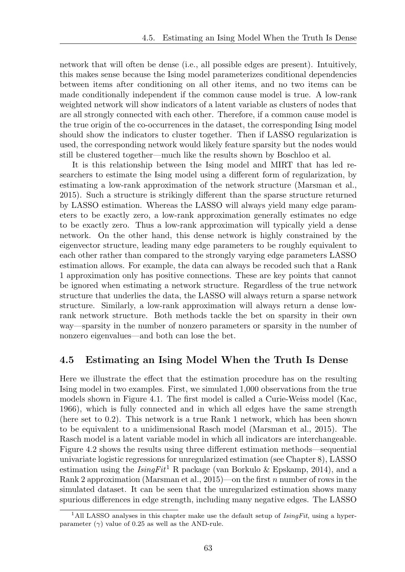network that will often be dense (i.e., all possible edges are present). Intuitively, this makes sense because the Ising model parameterizes conditional dependencies between items after conditioning on all other items, and no two items can be made conditionally independent if the common cause model is true. A low-rank weighted network will show indicators of a latent variable as clusters of nodes that are all strongly connected with each other. Therefore, if a common cause model is the true origin of the co-occurrences in the dataset, the corresponding Ising model should show the indicators to cluster together. Then if LASSO regularization is used, the corresponding network would likely feature sparsity but the nodes would still be clustered together—much like the results shown by Boschloo et al.

It is this relationship between the Ising model and MIRT that has led researchers to estimate the Ising model using a different form of regularization, by estimating a low-rank approximation of the network structure (Marsman et al.,  $2015$ ). Such a structure is strikingly different than the sparse structure returned by LASSO estimation. Whereas the LASSO will always yield many edge parameters to be exactly zero, a low-rank approximation generally estimates no edge to be exactly zero. Thus a low-rank approximation will typically yield a dense network. On the other hand, this dense network is highly constrained by the eigenvector structure, leading many edge parameters to be roughly equivalent to each other rather than compared to the strongly varying edge parameters LASSO estimation allows. For example, the data can always be recoded such that a Rank 1 approximation only has positive connections. These are key points that cannot be ignored when estimating a network structure. Regardless of the true network structure that underlies the data, the LASSO will always return a sparse network structure. Similarly, a low-rank approximation will always return a dense lowrank network structure. Both methods tackle the bet on sparsity in their own way—sparsity in the number of nonzero parameters or sparsity in the number of nonzero eigenvalues—and both can lose the bet.

#### 4.5 Estimating an Ising Model When the Truth Is Dense

Here we illustrate the effect that the estimation procedure has on the resulting Ising model in two examples. First, we simulated 1*,*000 observations from the true models shown in Figure 4.1. The first model is called a Curie-Weiss model (Kac, 1966), which is fully connected and in which all edges have the same strength (here set to 0*.*2). This network is a true Rank 1 network, which has been shown to be equivalent to a unidimensional Rasch model (Marsman et al., 2015). The Rasch model is a latent variable model in which all indicators are interchangeable. Figure 4.2 shows the results using three different estimation methods—sequential univariate logistic regressions for unregularized estimation (see Chapter 8), LASSO estimation using the  $IsingFit^1$  R package (van Borkulo & Epskamp, 2014), and a Rank 2 approximation (Marsman et al., 2015)—on the first *n* number of rows in the simulated dataset. It can be seen that the unregularized estimation shows many spurious differences in edge strength, including many negative edges. The LASSO

<sup>1</sup>All LASSO analyses in this chapter make use the default setup of *IsingFit*, using a hyperparameter  $(\gamma)$  value of 0.25 as well as the AND-rule.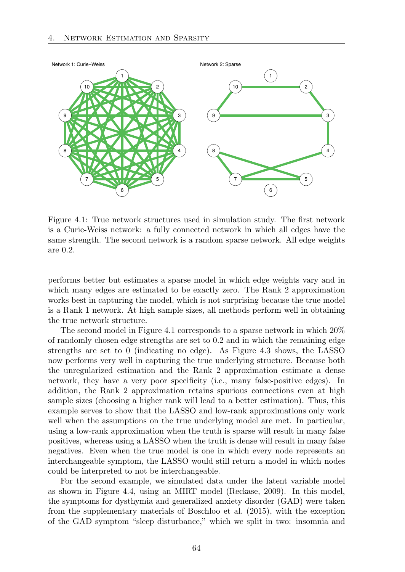

Figure 4.1: True network structures used in simulation study. The first network is a Curie-Weiss network: a fully connected network in which all edges have the same strength. The second network is a random sparse network. All edge weights are 0*.*2.

performs better but estimates a sparse model in which edge weights vary and in which many edges are estimated to be exactly zero. The Rank 2 approximation works best in capturing the model, which is not surprising because the true model is a Rank 1 network. At high sample sizes, all methods perform well in obtaining the true network structure.

The second model in Figure 4.1 corresponds to a sparse network in which 20% of randomly chosen edge strengths are set to 0*.*2 and in which the remaining edge strengths are set to 0 (indicating no edge). As Figure 4.3 shows, the LASSO now performs very well in capturing the true underlying structure. Because both the unregularized estimation and the Rank 2 approximation estimate a dense network, they have a very poor specificity (i.e., many false-positive edges). In addition, the Rank 2 approximation retains spurious connections even at high sample sizes (choosing a higher rank will lead to a better estimation). Thus, this example serves to show that the LASSO and low-rank approximations only work well when the assumptions on the true underlying model are met. In particular, using a low-rank approximation when the truth is sparse will result in many false positives, whereas using a LASSO when the truth is dense will result in many false negatives. Even when the true model is one in which every node represents an interchangeable symptom, the LASSO would still return a model in which nodes could be interpreted to not be interchangeable.

For the second example, we simulated data under the latent variable model as shown in Figure 4.4, using an MIRT model (Reckase, 2009). In this model, the symptoms for dysthymia and generalized anxiety disorder (GAD) were taken from the supplementary materials of Boschloo et al. (2015), with the exception of the GAD symptom "sleep disturbance," which we split in two: insomnia and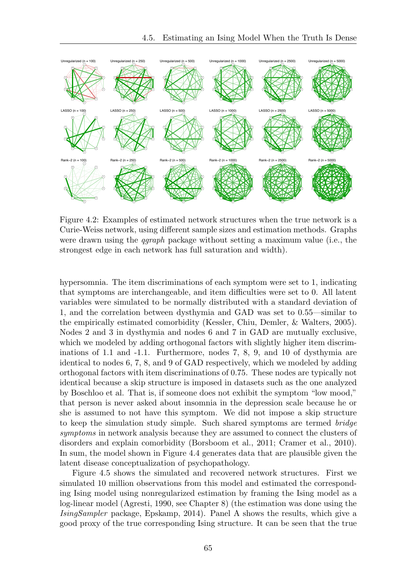

Figure 4.2: Examples of estimated network structures when the true network is a Curie-Weiss network, using different sample sizes and estimation methods. Graphs were drawn using the *qgraph* package without setting a maximum value (i.e., the strongest edge in each network has full saturation and width).

hypersomnia. The item discriminations of each symptom were set to 1, indicating that symptoms are interchangeable, and item difficulties were set to 0. All latent variables were simulated to be normally distributed with a standard deviation of 1, and the correlation between dysthymia and GAD was set to 0.55—similar to the empirically estimated comorbidity (Kessler, Chiu, Demler, & Walters, 2005). Nodes 2 and 3 in dysthymia and nodes 6 and 7 in GAD are mutually exclusive, which we modeled by adding orthogonal factors with slightly higher item discriminations of 1.1 and -1.1. Furthermore, nodes 7, 8, 9, and 10 of dysthymia are identical to nodes 6, 7, 8, and 9 of GAD respectively, which we modeled by adding orthogonal factors with item discriminations of 0.75. These nodes are typically not identical because a skip structure is imposed in datasets such as the one analyzed by Boschloo et al. That is, if someone does not exhibit the symptom "low mood," that person is never asked about insomnia in the depression scale because he or she is assumed to not have this symptom. We did not impose a skip structure to keep the simulation study simple. Such shared symptoms are termed *bridge symptoms* in network analysis because they are assumed to connect the clusters of disorders and explain comorbidity (Borsboom et al., 2011; Cramer et al., 2010). In sum, the model shown in Figure 4.4 generates data that are plausible given the latent disease conceptualization of psychopathology.

Figure 4.5 shows the simulated and recovered network structures. First we simulated 10 million observations from this model and estimated the corresponding Ising model using nonregularized estimation by framing the Ising model as a log-linear model (Agresti, 1990, see Chapter 8) (the estimation was done using the *IsingSampler* package, Epskamp, 2014). Panel A shows the results, which give a good proxy of the true corresponding Ising structure. It can be seen that the true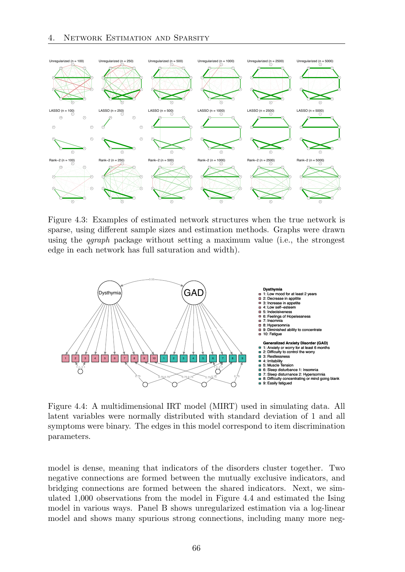

Figure 4.3: Examples of estimated network structures when the true network is sparse, using different sample sizes and estimation methods. Graphs were drawn using the *qgraph* package without setting a maximum value (i.e., the strongest edge in each network has full saturation and width).



Figure 4.4: A multidimensional IRT model (MIRT) used in simulating data. All latent variables were normally distributed with standard deviation of 1 and all symptoms were binary. The edges in this model correspond to item discrimination parameters.

model is dense, meaning that indicators of the disorders cluster together. Two negative connections are formed between the mutually exclusive indicators, and bridging connections are formed between the shared indicators. Next, we simulated 1*,*000 observations from the model in Figure 4.4 and estimated the Ising model in various ways. Panel B shows unregularized estimation via a log-linear model and shows many spurious strong connections, including many more neg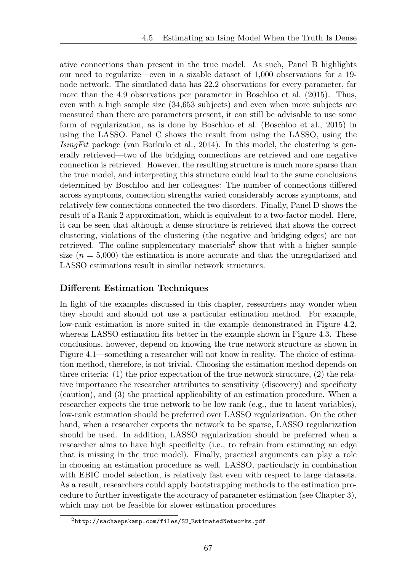ative connections than present in the true model. As such, Panel B highlights our need to regularize—even in a sizable dataset of 1*,*000 observations for a 19 node network. The simulated data has 22*.*2 observations for every parameter, far more than the 4*.*9 observations per parameter in Boschloo et al. (2015). Thus, even with a high sample size (34*,*653 subjects) and even when more subjects are measured than there are parameters present, it can still be advisable to use some form of regularization, as is done by Boschloo et al. (Boschloo et al., 2015) in using the LASSO. Panel C shows the result from using the LASSO, using the *IsingFit* package (van Borkulo et al., 2014). In this model, the clustering is generally retrieved—two of the bridging connections are retrieved and one negative connection is retrieved. However, the resulting structure is much more sparse than the true model, and interpreting this structure could lead to the same conclusions determined by Boschloo and her colleagues: The number of connections differed across symptoms, connection strengths varied considerably across symptoms, and relatively few connections connected the two disorders. Finally, Panel D shows the result of a Rank 2 approximation, which is equivalent to a two-factor model. Here, it can be seen that although a dense structure is retrieved that shows the correct clustering, violations of the clustering (the negative and bridging edges) are not retrieved. The online supplementary materials<sup>2</sup> show that with a higher sample size  $(n = 5,000)$  the estimation is more accurate and that the unregularized and LASSO estimations result in similar network structures.

### Different Estimation Techniques

In light of the examples discussed in this chapter, researchers may wonder when they should and should not use a particular estimation method. For example, low-rank estimation is more suited in the example demonstrated in Figure 4.2, whereas LASSO estimation fits better in the example shown in Figure 4.3. These conclusions, however, depend on knowing the true network structure as shown in Figure 4.1—something a researcher will not know in reality. The choice of estimation method, therefore, is not trivial. Choosing the estimation method depends on three criteria: (1) the prior expectation of the true network structure, (2) the relative importance the researcher attributes to sensitivity (discovery) and specificity (caution), and (3) the practical applicability of an estimation procedure. When a researcher expects the true network to be low rank (e.g., due to latent variables), low-rank estimation should be preferred over LASSO regularization. On the other hand, when a researcher expects the network to be sparse, LASSO regularization should be used. In addition, LASSO regularization should be preferred when a researcher aims to have high specificity (i.e., to refrain from estimating an edge that is missing in the true model). Finally, practical arguments can play a role in choosing an estimation procedure as well. LASSO, particularly in combination with EBIC model selection, is relatively fast even with respect to large datasets. As a result, researchers could apply bootstrapping methods to the estimation procedure to further investigate the accuracy of parameter estimation (see Chapter 3), which may not be feasible for slower estimation procedures.

 $^{2}$ http://sachaepskamp.com/files/S2\_EstimatedNetworks.pdf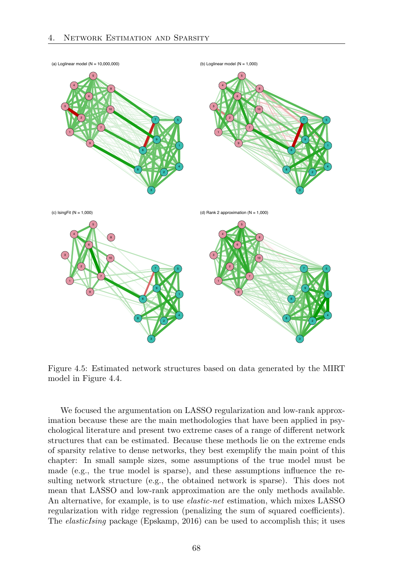

Figure 4.5: Estimated network structures based on data generated by the MIRT model in Figure 4.4.

We focused the argumentation on LASSO regularization and low-rank approximation because these are the main methodologies that have been applied in psychological literature and present two extreme cases of a range of different network structures that can be estimated. Because these methods lie on the extreme ends of sparsity relative to dense networks, they best exemplify the main point of this chapter: In small sample sizes, some assumptions of the true model must be made (e.g., the true model is sparse), and these assumptions influence the resulting network structure (e.g., the obtained network is sparse). This does not mean that LASSO and low-rank approximation are the only methods available. An alternative, for example, is to use *elastic-net* estimation, which mixes LASSO regularization with ridge regression (penalizing the sum of squared coefficients). The *elasticIsing* package (Epskamp, 2016) can be used to accomplish this; it uses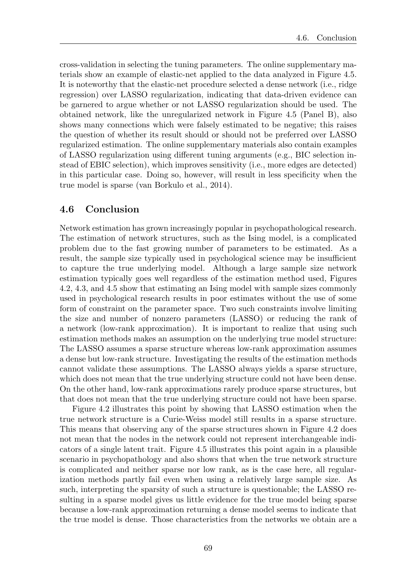cross-validation in selecting the tuning parameters. The online supplementary materials show an example of elastic-net applied to the data analyzed in Figure 4.5. It is noteworthy that the elastic-net procedure selected a dense network (i.e., ridge regression) over LASSO regularization, indicating that data-driven evidence can be garnered to argue whether or not LASSO regularization should be used. The obtained network, like the unregularized network in Figure 4.5 (Panel B), also shows many connections which were falsely estimated to be negative; this raises the question of whether its result should or should not be preferred over LASSO regularized estimation. The online supplementary materials also contain examples of LASSO regularization using different tuning arguments (e.g., BIC selection instead of EBIC selection), which improves sensitivity (i.e., more edges are detected) in this particular case. Doing so, however, will result in less specificity when the true model is sparse (van Borkulo et al., 2014).

#### 4.6 Conclusion

Network estimation has grown increasingly popular in psychopathological research. The estimation of network structures, such as the Ising model, is a complicated problem due to the fast growing number of parameters to be estimated. As a result, the sample size typically used in psychological science may be insufficient to capture the true underlying model. Although a large sample size network estimation typically goes well regardless of the estimation method used, Figures 4.2, 4.3, and 4.5 show that estimating an Ising model with sample sizes commonly used in psychological research results in poor estimates without the use of some form of constraint on the parameter space. Two such constraints involve limiting the size and number of nonzero parameters (LASSO) or reducing the rank of a network (low-rank approximation). It is important to realize that using such estimation methods makes an assumption on the underlying true model structure: The LASSO assumes a sparse structure whereas low-rank approximation assumes a dense but low-rank structure. Investigating the results of the estimation methods cannot validate these assumptions. The LASSO always yields a sparse structure, which does not mean that the true underlying structure could not have been dense. On the other hand, low-rank approximations rarely produce sparse structures, but that does not mean that the true underlying structure could not have been sparse.

Figure 4.2 illustrates this point by showing that LASSO estimation when the true network structure is a Curie-Weiss model still results in a sparse structure. This means that observing any of the sparse structures shown in Figure 4.2 does not mean that the nodes in the network could not represent interchangeable indicators of a single latent trait. Figure 4.5 illustrates this point again in a plausible scenario in psychopathology and also shows that when the true network structure is complicated and neither sparse nor low rank, as is the case here, all regularization methods partly fail even when using a relatively large sample size. As such, interpreting the sparsity of such a structure is questionable; the LASSO resulting in a sparse model gives us little evidence for the true model being sparse because a low-rank approximation returning a dense model seems to indicate that the true model is dense. Those characteristics from the networks we obtain are a